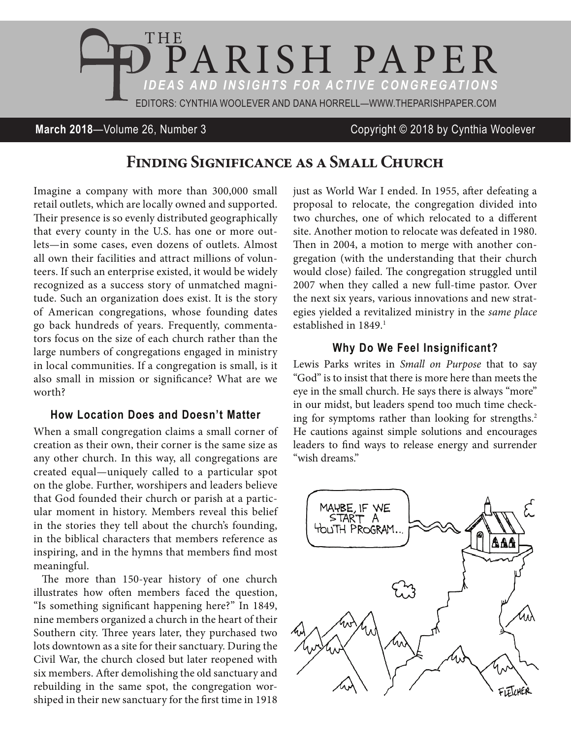

## **March 2018**—Volume 26, Number 3 Copyright © 2018 by Cynthia Woolever

# **Finding Significance as a Small Church**

Imagine a company with more than 300,000 small retail outlets, which are locally owned and supported. Their presence is so evenly distributed geographically that every county in the U.S. has one or more outlets—in some cases, even dozens of outlets. Almost all own their facilities and attract millions of volunteers. If such an enterprise existed, it would be widely recognized as a success story of unmatched magnitude. Such an organization does exist. It is the story of American congregations, whose founding dates go back hundreds of years. Frequently, commentators focus on the size of each church rather than the large numbers of congregations engaged in ministry in local communities. If a congregation is small, is it also small in mission or significance? What are we worth?

#### **How Location Does and Doesn't Matter**

When a small congregation claims a small corner of creation as their own, their corner is the same size as any other church. In this way, all congregations are created equal—uniquely called to a particular spot on the globe. Further, worshipers and leaders believe that God founded their church or parish at a particular moment in history. Members reveal this belief in the stories they tell about the church's founding, in the biblical characters that members reference as inspiring, and in the hymns that members find most meaningful.

The more than 150-year history of one church illustrates how often members faced the question, "Is something significant happening here?" In 1849, nine members organized a church in the heart of their Southern city. Three years later, they purchased two lots downtown as a site for their sanctuary. During the Civil War, the church closed but later reopened with six members. After demolishing the old sanctuary and rebuilding in the same spot, the congregation worshiped in their new sanctuary for the first time in 1918

just as World War I ended. In 1955, after defeating a proposal to relocate, the congregation divided into two churches, one of which relocated to a different site. Another motion to relocate was defeated in 1980. Then in 2004, a motion to merge with another congregation (with the understanding that their church would close) failed. The congregation struggled until 2007 when they called a new full-time pastor. Over the next six years, various innovations and new strategies yielded a revitalized ministry in the *same place* established in 1849.<sup>1</sup>

### **Why Do We Feel Insignificant?**

Lewis Parks writes in *Small on Purpose* that to say "God" is to insist that there is more here than meets the eye in the small church. He says there is always "more" in our midst, but leaders spend too much time checking for symptoms rather than looking for strengths.<sup>2</sup> He cautions against simple solutions and encourages leaders to find ways to release energy and surrender "wish dreams."